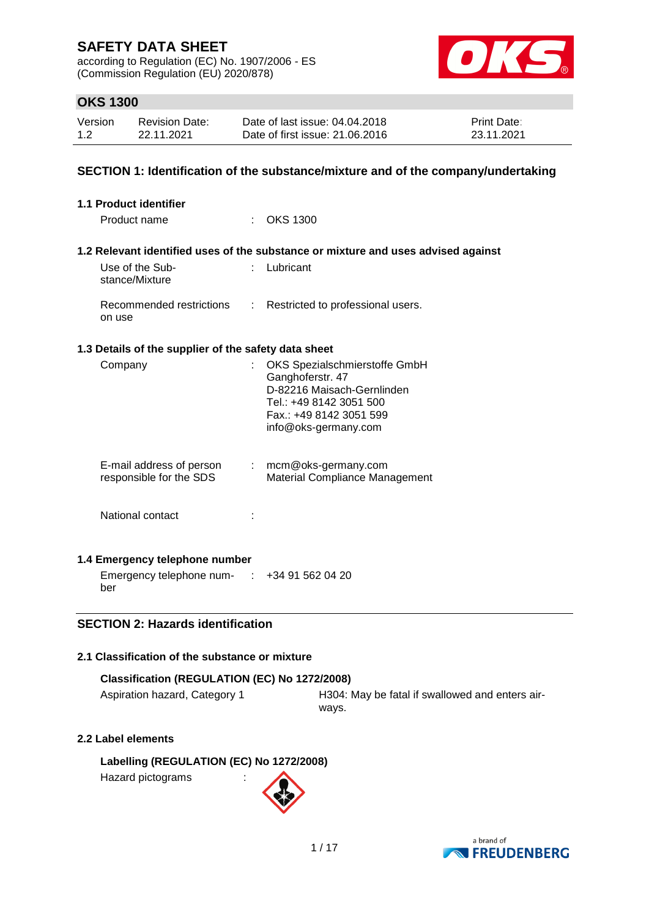according to Regulation (EC) No. 1907/2006 - ES (Commission Regulation (EU) 2020/878)



### **OKS 1300**

| Version | <b>Revision Date:</b> | Date of last issue: 04.04.2018  | <b>Print Date:</b> |
|---------|-----------------------|---------------------------------|--------------------|
| 1.2     | 22.11.2021            | Date of first issue: 21,06,2016 | 23.11.2021         |

### **SECTION 1: Identification of the substance/mixture and of the company/undertaking**

| <b>1.1 Product identifier</b>                        |    |                                                                                                                                                               |
|------------------------------------------------------|----|---------------------------------------------------------------------------------------------------------------------------------------------------------------|
| Product name                                         |    | : OKS 1300                                                                                                                                                    |
|                                                      |    | 1.2 Relevant identified uses of the substance or mixture and uses advised against                                                                             |
| Use of the Sub-<br>stance/Mixture                    | ÷. | Lubricant                                                                                                                                                     |
| Recommended restrictions<br>on use                   |    | : Restricted to professional users.                                                                                                                           |
| 1.3 Details of the supplier of the safety data sheet |    |                                                                                                                                                               |
| Company                                              | t. | OKS Spezialschmierstoffe GmbH<br>Ganghoferstr. 47<br>D-82216 Maisach-Gernlinden<br>Tel.: +49 8142 3051 500<br>Fax.: +49 8142 3051 599<br>info@oks-germany.com |
| E-mail address of person<br>responsible for the SDS  |    | $:$ mcm@oks-germany.com<br>Material Compliance Management                                                                                                     |
| National contact                                     |    |                                                                                                                                                               |
| 1.4 Emergency telephone number                       |    |                                                                                                                                                               |
| Emergency telephone num- : +34 91 562 04 20<br>ber   |    |                                                                                                                                                               |

## **SECTION 2: Hazards identification**

### **2.1 Classification of the substance or mixture**

#### **Classification (REGULATION (EC) No 1272/2008)**

Aspiration hazard, Category 1 **H304: May be fatal if swallowed and enters air**ways.

### **2.2 Label elements**

**Labelling (REGULATION (EC) No 1272/2008)**

Hazard pictograms :



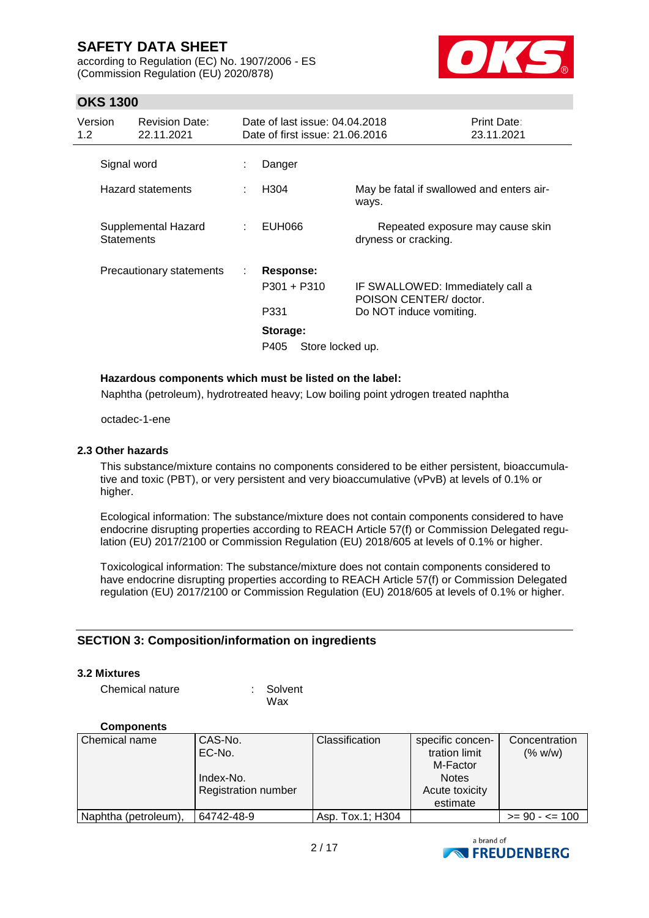according to Regulation (EC) No. 1907/2006 - ES (Commission Regulation (EU) 2020/878)



### **OKS 1300**

| Version<br>1.2    | <b>Revision Date:</b><br>22.11.2021 |   | Date of last issue: 04.04.2018<br>Date of first issue: 21.06.2016          |                                                                                       | <b>Print Date:</b><br>23.11.2021 |
|-------------------|-------------------------------------|---|----------------------------------------------------------------------------|---------------------------------------------------------------------------------------|----------------------------------|
| Signal word       |                                     |   | Danger                                                                     |                                                                                       |                                  |
|                   | <b>Hazard statements</b>            |   | H <sub>304</sub>                                                           | May be fatal if swallowed and enters air-<br>ways.                                    |                                  |
| <b>Statements</b> | Supplemental Hazard                 |   | EUH066                                                                     | Repeated exposure may cause skin<br>dryness or cracking.                              |                                  |
|                   | Precautionary statements            | ÷ | Response:<br>$P301 + P310$<br>P331<br>Storage:<br>Store locked up.<br>P405 | IF SWALLOWED: Immediately call a<br>POISON CENTER/ doctor.<br>Do NOT induce vomiting. |                                  |

#### **Hazardous components which must be listed on the label:**

Naphtha (petroleum), hydrotreated heavy; Low boiling point ydrogen treated naphtha

octadec-1-ene

#### **2.3 Other hazards**

This substance/mixture contains no components considered to be either persistent, bioaccumulative and toxic (PBT), or very persistent and very bioaccumulative (vPvB) at levels of 0.1% or higher.

Ecological information: The substance/mixture does not contain components considered to have endocrine disrupting properties according to REACH Article 57(f) or Commission Delegated regulation (EU) 2017/2100 or Commission Regulation (EU) 2018/605 at levels of 0.1% or higher.

Toxicological information: The substance/mixture does not contain components considered to have endocrine disrupting properties according to REACH Article 57(f) or Commission Delegated regulation (EU) 2017/2100 or Commission Regulation (EU) 2018/605 at levels of 0.1% or higher.

#### **SECTION 3: Composition/information on ingredients**

#### **3.2 Mixtures**

Chemical nature : Solvent

Wax

#### **Components**

| Chemical name        | CAS-No.<br>EC-No.          | Classification   | specific concen-<br>tration limit<br>M-Factor | Concentration<br>(% w/w) |
|----------------------|----------------------------|------------------|-----------------------------------------------|--------------------------|
|                      | Index-No.                  |                  | <b>Notes</b>                                  |                          |
|                      | <b>Registration number</b> |                  | Acute toxicity                                |                          |
|                      |                            |                  | estimate                                      |                          |
| Naphtha (petroleum), | 64742-48-9                 | Asp. Tox.1; H304 |                                               | $>= 90 - 5 = 100$        |

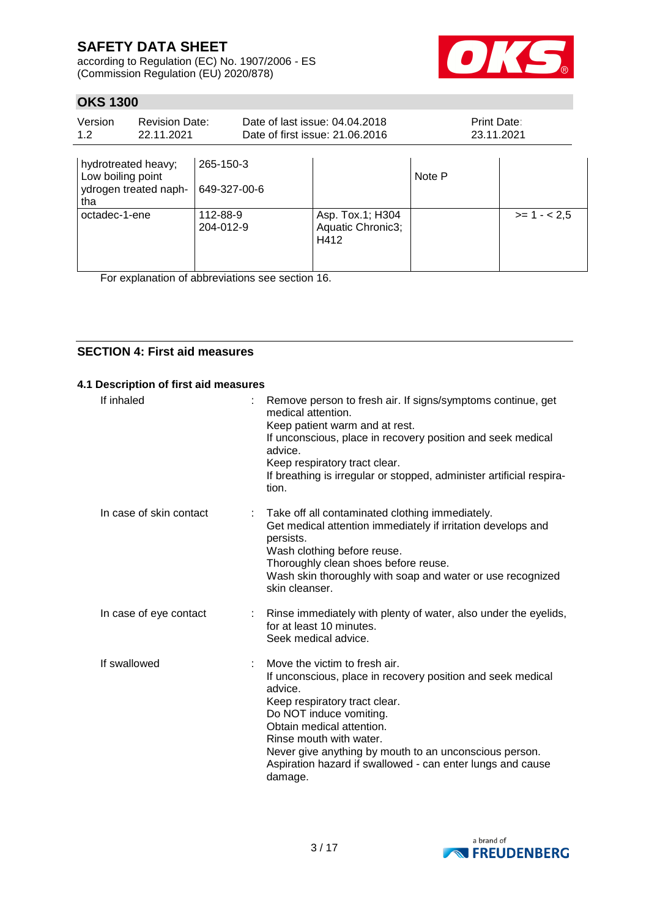according to Regulation (EC) No. 1907/2006 - ES (Commission Regulation (EU) 2020/878)



### **OKS 1300**

| Version<br>1.2                                  | <b>Revision Date:</b><br>22.11.2021 |                                               | Date of last issue: 04.04.2018<br>Date of first issue: 21.06.2016 |              | Print Date:<br>23.11.2021 |
|-------------------------------------------------|-------------------------------------|-----------------------------------------------|-------------------------------------------------------------------|--------------|---------------------------|
| hydrotreated heavy;<br>Low boiling point<br>tha | ydrogen treated naph-               | 265-150-3<br>649-327-00-6                     |                                                                   | Note P       |                           |
| 112-88-9<br>octadec-1-ene<br>204-012-9          |                                     | Asp. Tox.1; H304<br>Aquatic Chronic3;<br>H412 |                                                                   | $>= 1 - 2.5$ |                           |

For explanation of abbreviations see section 16.

### **SECTION 4: First aid measures**

#### **4.1 Description of first aid measures**

| If inhaled              | Remove person to fresh air. If signs/symptoms continue, get<br>medical attention.<br>Keep patient warm and at rest.<br>If unconscious, place in recovery position and seek medical<br>advice.<br>Keep respiratory tract clear.<br>If breathing is irregular or stopped, administer artificial respira-<br>tion.                                                |
|-------------------------|----------------------------------------------------------------------------------------------------------------------------------------------------------------------------------------------------------------------------------------------------------------------------------------------------------------------------------------------------------------|
| In case of skin contact | Take off all contaminated clothing immediately.<br>Get medical attention immediately if irritation develops and<br>persists.<br>Wash clothing before reuse.<br>Thoroughly clean shoes before reuse.<br>Wash skin thoroughly with soap and water or use recognized<br>skin cleanser.                                                                            |
| In case of eye contact  | Rinse immediately with plenty of water, also under the eyelids,<br>for at least 10 minutes.<br>Seek medical advice.                                                                                                                                                                                                                                            |
| If swallowed            | Move the victim to fresh air.<br>If unconscious, place in recovery position and seek medical<br>advice.<br>Keep respiratory tract clear.<br>Do NOT induce vomiting.<br>Obtain medical attention.<br>Rinse mouth with water.<br>Never give anything by mouth to an unconscious person.<br>Aspiration hazard if swallowed - can enter lungs and cause<br>damage. |

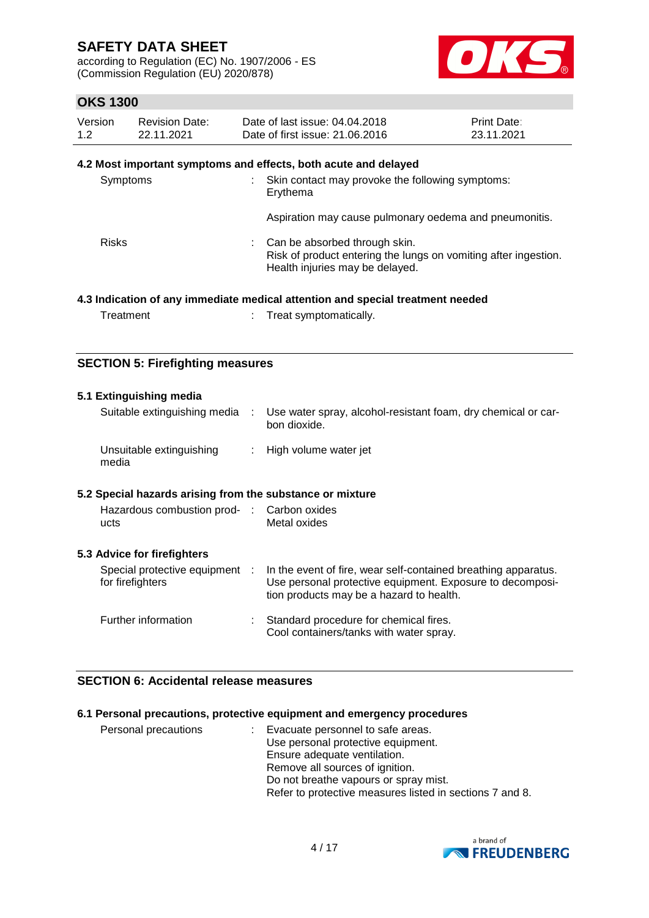according to Regulation (EC) No. 1907/2006 - ES (Commission Regulation (EU) 2020/878)



### **OKS 1300**

| Version | Revision Date: | Date of last issue: 04.04.2018  | <b>Print Date:</b> |
|---------|----------------|---------------------------------|--------------------|
| 1.2     | 22.11.2021     | Date of first issue: 21,06,2016 | 23.11.2021         |

### **4.2 Most important symptoms and effects, both acute and delayed**

| Symptoms     | Skin contact may provoke the following symptoms:<br>Erythema                                                                        |
|--------------|-------------------------------------------------------------------------------------------------------------------------------------|
|              | Aspiration may cause pulmonary oedema and pneumonitis.                                                                              |
| <b>Risks</b> | Can be absorbed through skin.<br>Risk of product entering the lungs on vomiting after ingestion.<br>Health injuries may be delayed. |
|              |                                                                                                                                     |

#### **4.3 Indication of any immediate medical attention and special treatment needed**

Treatment : Treat symptomatically.

### **SECTION 5: Firefighting measures**

| 5.1 Extinguishing media                                   |                                                                                                                                                                         |
|-----------------------------------------------------------|-------------------------------------------------------------------------------------------------------------------------------------------------------------------------|
| Suitable extinguishing media :                            | Use water spray, alcohol-resistant foam, dry chemical or car-<br>bon dioxide.                                                                                           |
| Unsuitable extinguishing<br>media                         | : High volume water jet                                                                                                                                                 |
| 5.2 Special hazards arising from the substance or mixture |                                                                                                                                                                         |
| Hazardous combustion prod- : Carbon oxides<br>ucts        | Metal oxides                                                                                                                                                            |
| 5.3 Advice for firefighters                               |                                                                                                                                                                         |
| Special protective equipment :<br>for firefighters        | In the event of fire, wear self-contained breathing apparatus.<br>Use personal protective equipment. Exposure to decomposi-<br>tion products may be a hazard to health. |
| Further information                                       | Standard procedure for chemical fires.<br>Cool containers/tanks with water spray.                                                                                       |

### **SECTION 6: Accidental release measures**

### **6.1 Personal precautions, protective equipment and emergency procedures**

| Personal precautions | Evacuate personnel to safe areas.                        |
|----------------------|----------------------------------------------------------|
|                      | Use personal protective equipment.                       |
|                      | Ensure adequate ventilation.                             |
|                      | Remove all sources of ignition.                          |
|                      | Do not breathe vapours or spray mist.                    |
|                      | Refer to protective measures listed in sections 7 and 8. |

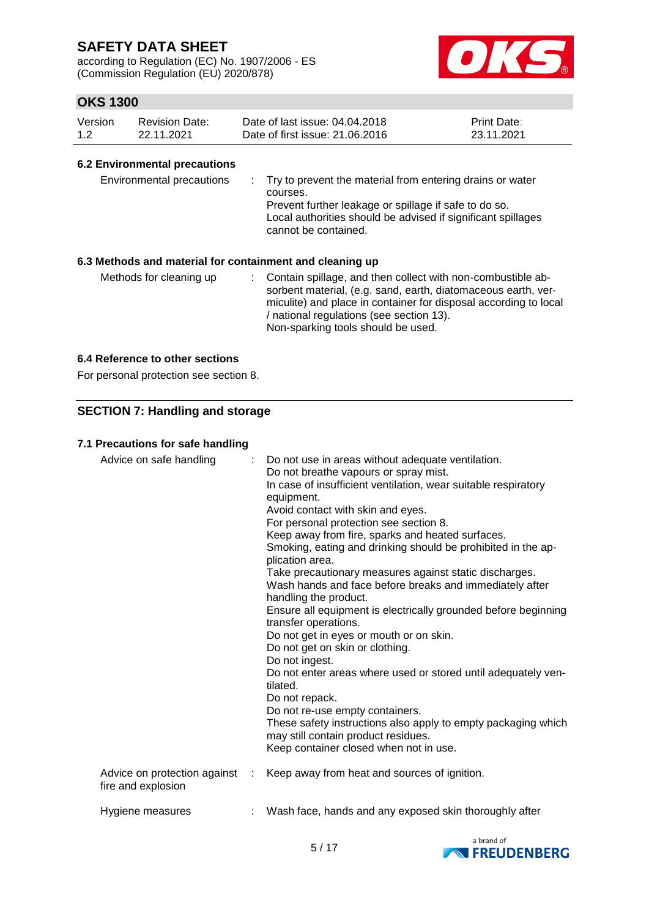according to Regulation (EC) No. 1907/2006 - ES (Commission Regulation (EU) 2020/878)



### **OKS 1300**

| Version | <b>Revision Date:</b> | Date of last issue: 04.04.2018  | <b>Print Date:</b> |
|---------|-----------------------|---------------------------------|--------------------|
| 1.2     | 22.11.2021            | Date of first issue: 21,06,2016 | 23.11.2021         |

#### **6.2 Environmental precautions**

| Environmental precautions<br>6.3 Methods and material for containment and cleaning up | : Try to prevent the material from entering drains or water<br>courses.<br>Prevent further leakage or spillage if safe to do so.<br>Local authorities should be advised if significant spillages<br>cannot be contained. |
|---------------------------------------------------------------------------------------|--------------------------------------------------------------------------------------------------------------------------------------------------------------------------------------------------------------------------|
| Methods for cleaning up                                                               | Contain spillage, and then collect with non-combustible ab-<br>sorbent material, (e.g. sand, earth, diatomaceous earth, ver-                                                                                             |

/ national regulations (see section 13). Non-sparking tools should be used.

miculite) and place in container for disposal according to local

### **6.4 Reference to other sections**

For personal protection see section 8.

### **SECTION 7: Handling and storage**

#### **7.1 Precautions for safe handling**

| Advice on safe handling                            |   | : Do not use in areas without adequate ventilation.<br>Do not breathe vapours or spray mist.<br>In case of insufficient ventilation, wear suitable respiratory<br>equipment.<br>Avoid contact with skin and eyes.<br>For personal protection see section 8.<br>Keep away from fire, sparks and heated surfaces.<br>Smoking, eating and drinking should be prohibited in the ap-<br>plication area.<br>Take precautionary measures against static discharges.<br>Wash hands and face before breaks and immediately after<br>handling the product.<br>Ensure all equipment is electrically grounded before beginning<br>transfer operations.<br>Do not get in eyes or mouth or on skin.<br>Do not get on skin or clothing.<br>Do not ingest.<br>Do not enter areas where used or stored until adequately ven-<br>tilated.<br>Do not repack.<br>Do not re-use empty containers.<br>These safety instructions also apply to empty packaging which<br>may still contain product residues.<br>Keep container closed when not in use. |
|----------------------------------------------------|---|--------------------------------------------------------------------------------------------------------------------------------------------------------------------------------------------------------------------------------------------------------------------------------------------------------------------------------------------------------------------------------------------------------------------------------------------------------------------------------------------------------------------------------------------------------------------------------------------------------------------------------------------------------------------------------------------------------------------------------------------------------------------------------------------------------------------------------------------------------------------------------------------------------------------------------------------------------------------------------------------------------------------------------|
| Advice on protection against<br>fire and explosion | ÷ | Keep away from heat and sources of ignition.                                                                                                                                                                                                                                                                                                                                                                                                                                                                                                                                                                                                                                                                                                                                                                                                                                                                                                                                                                                   |
| Hygiene measures                                   |   | Wash face, hands and any exposed skin thoroughly after                                                                                                                                                                                                                                                                                                                                                                                                                                                                                                                                                                                                                                                                                                                                                                                                                                                                                                                                                                         |

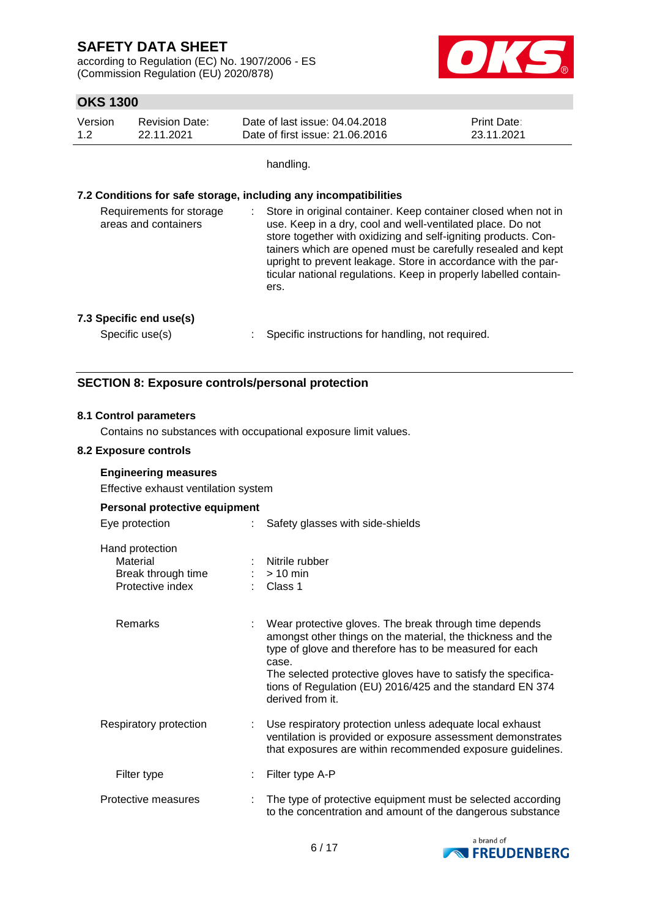according to Regulation (EC) No. 1907/2006 - ES (Commission Regulation (EU) 2020/878)



### **OKS 1300**

| Version | Revision Date: | Date of last issue: 04.04.2018  | <b>Print Date:</b> |
|---------|----------------|---------------------------------|--------------------|
| 1.2     | 22.11.2021     | Date of first issue: 21,06,2016 | 23.11.2021         |

handling.

#### **7.2 Conditions for safe storage, including any incompatibilities**

| Requirements for storage<br>areas and containers | : Store in original container. Keep container closed when not in<br>use. Keep in a dry, cool and well-ventilated place. Do not<br>store together with oxidizing and self-igniting products. Con-<br>tainers which are opened must be carefully resealed and kept<br>upright to prevent leakage. Store in accordance with the par-<br>ticular national regulations. Keep in properly labelled contain-<br>ers. |
|--------------------------------------------------|---------------------------------------------------------------------------------------------------------------------------------------------------------------------------------------------------------------------------------------------------------------------------------------------------------------------------------------------------------------------------------------------------------------|
|--------------------------------------------------|---------------------------------------------------------------------------------------------------------------------------------------------------------------------------------------------------------------------------------------------------------------------------------------------------------------------------------------------------------------------------------------------------------------|

#### **7.3 Specific end use(s)**

Specific use(s) : Specific instructions for handling, not required.

#### **SECTION 8: Exposure controls/personal protection**

#### **8.1 Control parameters**

Contains no substances with occupational exposure limit values.

#### **8.2 Exposure controls**

#### **Engineering measures**

Effective exhaust ventilation system

#### **Personal protective equipment**

| Eye protection                                                        | Safety glasses with side-shields                                                                                                                                                                                                                                                                                                            |
|-----------------------------------------------------------------------|---------------------------------------------------------------------------------------------------------------------------------------------------------------------------------------------------------------------------------------------------------------------------------------------------------------------------------------------|
| Hand protection<br>Material<br>Break through time<br>Protective index | : Nitrile rubber<br>$:$ > 10 min<br>Class 1                                                                                                                                                                                                                                                                                                 |
| <b>Remarks</b>                                                        | Wear protective gloves. The break through time depends<br>amongst other things on the material, the thickness and the<br>type of glove and therefore has to be measured for each<br>case.<br>The selected protective gloves have to satisfy the specifica-<br>tions of Regulation (EU) 2016/425 and the standard EN 374<br>derived from it. |
| Respiratory protection                                                | : Use respiratory protection unless adequate local exhaust<br>ventilation is provided or exposure assessment demonstrates<br>that exposures are within recommended exposure guidelines.                                                                                                                                                     |
| Filter type                                                           | Filter type A-P                                                                                                                                                                                                                                                                                                                             |
| Protective measures                                                   | The type of protective equipment must be selected according<br>to the concentration and amount of the dangerous substance                                                                                                                                                                                                                   |

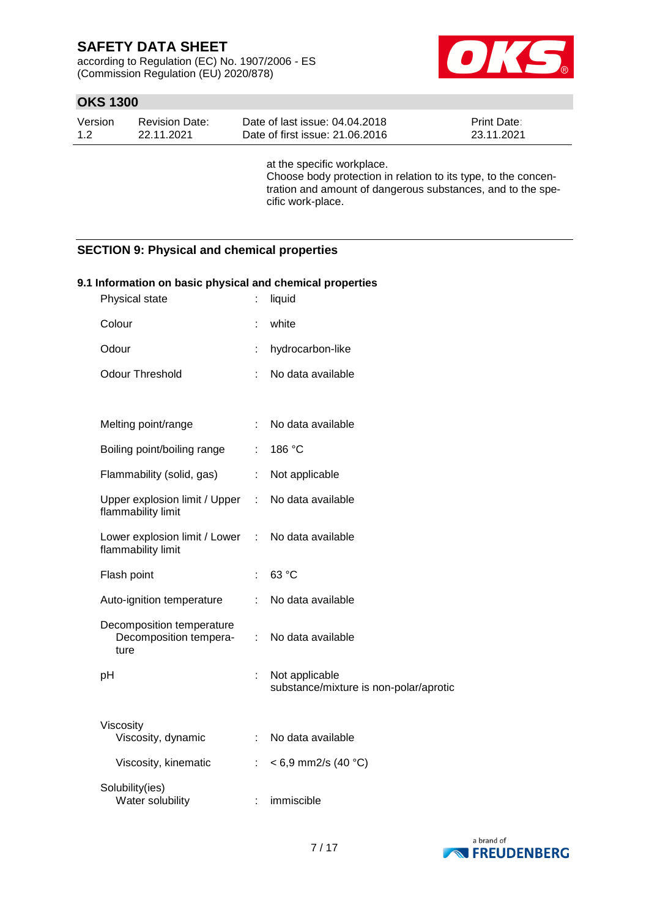according to Regulation (EC) No. 1907/2006 - ES (Commission Regulation (EU) 2020/878)



### **OKS 1300**

| Version | <b>Revision Date:</b> | Date of last issue: 04.04.2018  | <b>Print Date:</b> |
|---------|-----------------------|---------------------------------|--------------------|
| 1.2     | 22.11.2021            | Date of first issue: 21,06,2016 | 23.11.2021         |

at the specific workplace. Choose body protection in relation to its type, to the concentration and amount of dangerous substances, and to the specific work-place.

### **SECTION 9: Physical and chemical properties**

| 9.1 Information on basic physical and chemical properties   |     |                                                          |
|-------------------------------------------------------------|-----|----------------------------------------------------------|
| Physical state                                              |     | liquid                                                   |
| Colour                                                      |     | white                                                    |
| Odour                                                       | t.  | hydrocarbon-like                                         |
| <b>Odour Threshold</b>                                      |     | No data available                                        |
|                                                             |     |                                                          |
| Melting point/range                                         | ÷.  | No data available                                        |
| Boiling point/boiling range                                 |     | 186 °C                                                   |
| Flammability (solid, gas)                                   | ÷.  | Not applicable                                           |
| Upper explosion limit / Upper :<br>flammability limit       |     | No data available                                        |
| Lower explosion limit / Lower<br>flammability limit         | ÷   | No data available                                        |
| Flash point                                                 |     | 63 °C                                                    |
| Auto-ignition temperature                                   | ÷.  | No data available                                        |
| Decomposition temperature<br>Decomposition tempera-<br>ture | t.  | No data available                                        |
| рH                                                          | t.  | Not applicable<br>substance/mixture is non-polar/aprotic |
| Viscosity<br>Viscosity, dynamic                             | t i | No data available                                        |
| Viscosity, kinematic                                        | ÷.  | $< 6.9$ mm2/s (40 °C)                                    |
| Solubility(ies)<br>Water solubility                         |     | immiscible                                               |

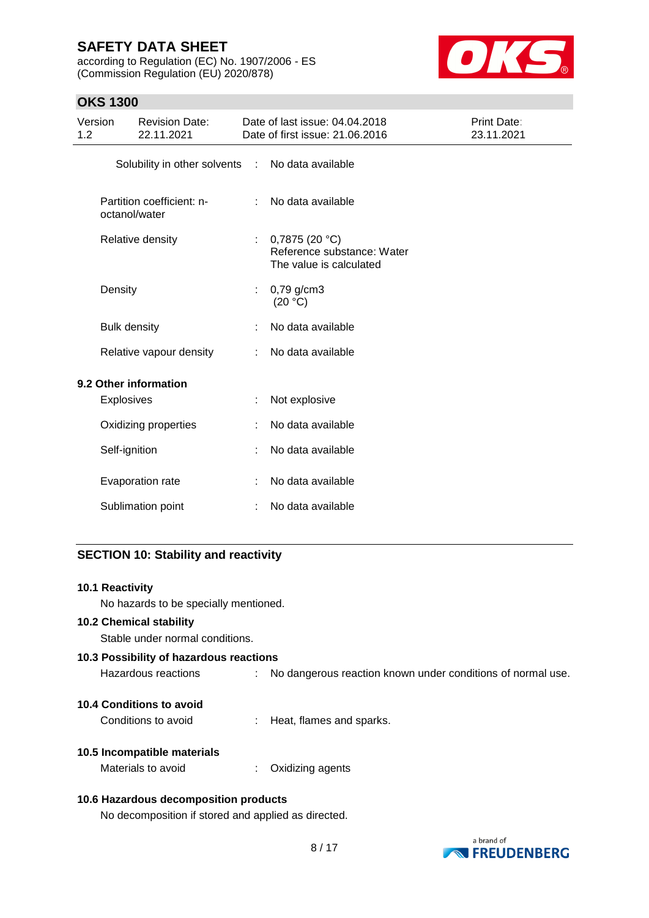according to Regulation (EC) No. 1907/2006 - ES (Commission Regulation (EU) 2020/878)



### **OKS 1300**

| Version<br>1.2 |                     | <b>Revision Date:</b><br>22.11.2021        |                           | Date of last issue: 04.04.2018<br>Date of first issue: 21.06.2016      | Print Date:<br>23.11.2021 |
|----------------|---------------------|--------------------------------------------|---------------------------|------------------------------------------------------------------------|---------------------------|
|                |                     | Solubility in other solvents :             |                           | No data available                                                      |                           |
|                |                     | Partition coefficient: n-<br>octanol/water | ÷                         | No data available                                                      |                           |
|                |                     | Relative density                           | $\mathbb{R}^{\mathbb{Z}}$ | 0,7875(20 °C)<br>Reference substance: Water<br>The value is calculated |                           |
|                | Density             |                                            | ÷                         | $0,79$ g/cm3<br>(20 °C)                                                |                           |
|                | <b>Bulk density</b> |                                            |                           | No data available                                                      |                           |
|                |                     | Relative vapour density                    | ÷                         | No data available                                                      |                           |
|                |                     | 9.2 Other information                      |                           |                                                                        |                           |
|                | Explosives          |                                            | ÷.                        | Not explosive                                                          |                           |
|                |                     | Oxidizing properties                       | ÷                         | No data available                                                      |                           |
|                | Self-ignition       |                                            |                           | No data available                                                      |                           |
|                |                     | Evaporation rate                           | ÷                         | No data available                                                      |                           |
|                |                     | Sublimation point                          | ÷                         | No data available                                                      |                           |
|                |                     |                                            |                           |                                                                        |                           |

## **SECTION 10: Stability and reactivity**

| <b>10.1 Reactivity</b><br>No hazards to be specially mentioned.   |                                                             |
|-------------------------------------------------------------------|-------------------------------------------------------------|
| <b>10.2 Chemical stability</b><br>Stable under normal conditions. |                                                             |
| 10.3 Possibility of hazardous reactions                           |                                                             |
| Hazardous reactions                                               | No dangerous reaction known under conditions of normal use. |
| 10.4 Conditions to avoid                                          |                                                             |
| Conditions to avoid                                               | : Heat, flames and sparks.                                  |
| 10.5 Incompatible materials                                       |                                                             |
| Materials to avoid                                                | Oxidizing agents                                            |
| 10.6 Hazardous decomposition products                             |                                                             |

No decomposition if stored and applied as directed.

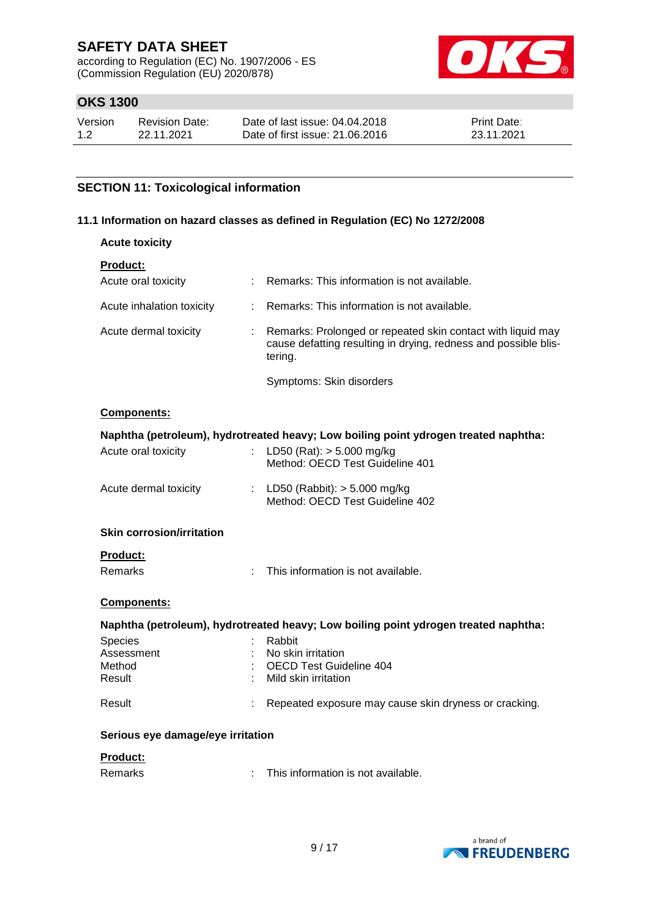according to Regulation (EC) No. 1907/2006 - ES (Commission Regulation (EU) 2020/878)



### **OKS 1300**

| Version | <b>Revision Date:</b> | Date of last issue: 04.04.2018  | <b>Print Date:</b> |
|---------|-----------------------|---------------------------------|--------------------|
| 1.2     | 22.11.2021            | Date of first issue: 21,06,2016 | 23.11.2021         |

### **SECTION 11: Toxicological information**

#### **11.1 Information on hazard classes as defined in Regulation (EC) No 1272/2008**

| <b>Acute toxicity</b>             |    |                                                                                                                                           |
|-----------------------------------|----|-------------------------------------------------------------------------------------------------------------------------------------------|
| Product:                          |    |                                                                                                                                           |
| Acute oral toxicity               |    | Remarks: This information is not available.                                                                                               |
| Acute inhalation toxicity         | t. | Remarks: This information is not available.                                                                                               |
| Acute dermal toxicity             | t. | Remarks: Prolonged or repeated skin contact with liquid may<br>cause defatting resulting in drying, redness and possible blis-<br>tering. |
|                                   |    | Symptoms: Skin disorders                                                                                                                  |
| Components:                       |    |                                                                                                                                           |
|                                   |    | Naphtha (petroleum), hydrotreated heavy; Low boiling point ydrogen treated naphtha:                                                       |
| Acute oral toxicity               | ł. | LD50 (Rat): $> 5.000$ mg/kg<br>Method: OECD Test Guideline 401                                                                            |
| Acute dermal toxicity             |    | : LD50 (Rabbit): $> 5.000$ mg/kg<br>Method: OECD Test Guideline 402                                                                       |
| <b>Skin corrosion/irritation</b>  |    |                                                                                                                                           |
| <b>Product:</b>                   |    |                                                                                                                                           |
| <b>Remarks</b>                    | ÷  | This information is not available.                                                                                                        |
| Components:                       |    |                                                                                                                                           |
|                                   |    | Naphtha (petroleum), hydrotreated heavy; Low boiling point ydrogen treated naphtha:                                                       |
| <b>Species</b>                    |    | Rabbit                                                                                                                                    |
| Assessment<br>Method              |    | No skin irritation<br><b>OECD Test Guideline 404</b>                                                                                      |
| Result                            |    | Mild skin irritation                                                                                                                      |
| Result                            |    | Repeated exposure may cause skin dryness or cracking.                                                                                     |
| Serious eye damage/eye irritation |    |                                                                                                                                           |
| <b>Product:</b>                   |    |                                                                                                                                           |
| <b>Remarks</b>                    |    | This information is not available.                                                                                                        |

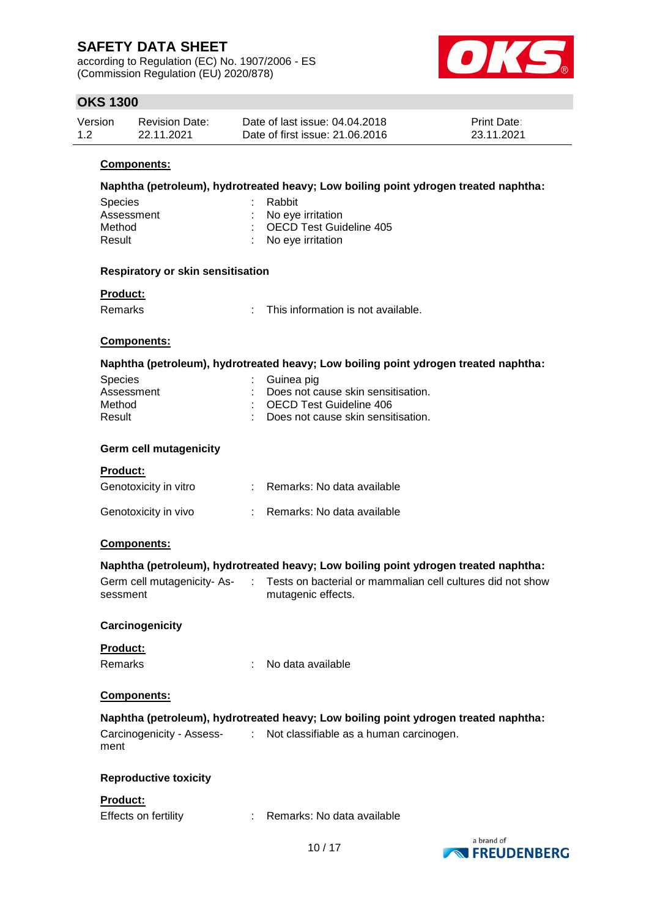according to Regulation (EC) No. 1907/2006 - ES (Commission Regulation (EU) 2020/878)



### **OKS 1300**

| Version | <b>Revision Date:</b> | Date of last issue: 04.04.2018  | <b>Print Date:</b> |
|---------|-----------------------|---------------------------------|--------------------|
| 1.2     | 22.11.2021            | Date of first issue: 21,06,2016 | 23.11.2021         |

#### **Components:**

|         | Naphtha (petroleum), hydrotreated heavy; Low boiling point ydrogen treated naphtha: |
|---------|-------------------------------------------------------------------------------------|
| Conside | $D - L - H$                                                                         |

| : No eye irritation<br>Assessment | <b>ODECIES</b> | <b>Rappil</b>             |
|-----------------------------------|----------------|---------------------------|
|                                   |                |                           |
| Method                            |                | : OECD Test Guideline 405 |
| : No eye irritation<br>Result     |                |                           |

#### **Respiratory or skin sensitisation**

#### **Product:**

| Remarks | This information is not available. |
|---------|------------------------------------|
|         |                                    |

#### **Components:**

#### **Naphtha (petroleum), hydrotreated heavy; Low boiling point ydrogen treated naphtha:**

| : Guinea pig                         |
|--------------------------------------|
| : Does not cause skin sensitisation. |
| : OECD Test Guideline 406            |
| : Does not cause skin sensitisation. |
|                                      |

### **Germ cell mutagenicity**

#### **Product:**

| Genotoxicity in vitro | Remarks: No data available |
|-----------------------|----------------------------|
| Genotoxicity in vivo  | Remarks: No data available |

#### **Components:**

#### **Naphtha (petroleum), hydrotreated heavy; Low boiling point ydrogen treated naphtha:**<br>Corresponding the state of perfective or perfective and putting did not show ninity- Ac. Tests on bacterial or mammalian cell cultures did

| Germ cell mutagenicity- As- | Tests on bacterial or mammalian cell cultures did not show |
|-----------------------------|------------------------------------------------------------|
| sessment                    | mutagenic effects.                                         |

### **Carcinogenicity**

#### **Product:**

Remarks : No data available

#### **Components:**

| Naphtha (petroleum), hydrotreated heavy; Low boiling point ydrogen treated naphtha: |  |                                                      |  |  |  |
|-------------------------------------------------------------------------------------|--|------------------------------------------------------|--|--|--|
| Carcinogenicity - Assess-<br>ment                                                   |  | $\therefore$ Not classifiable as a human carcinogen. |  |  |  |

### **Reproductive toxicity**

#### **Product:**

| Effects on fertility |  | Remarks: No data available |
|----------------------|--|----------------------------|
|----------------------|--|----------------------------|

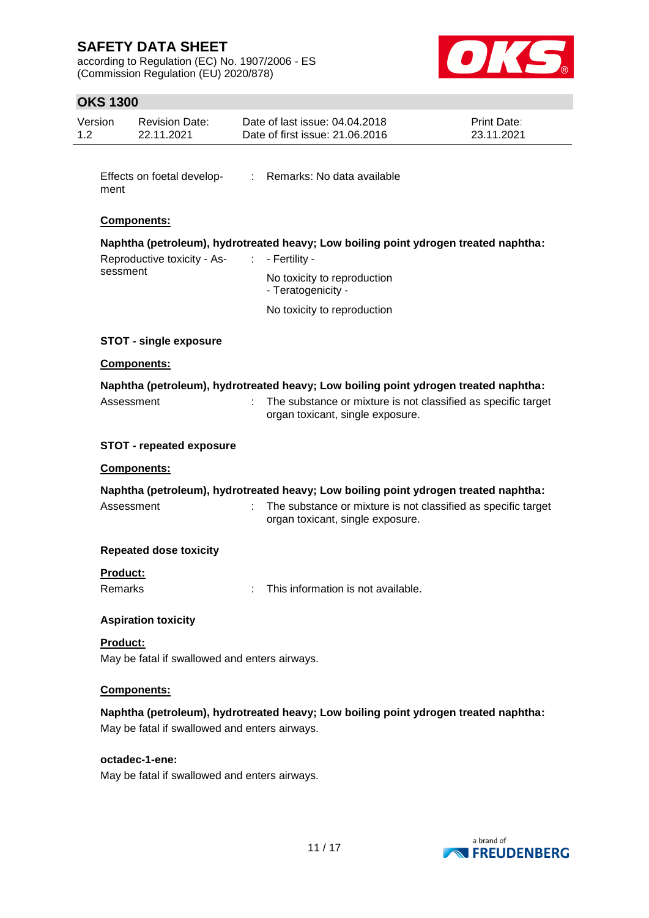according to Regulation (EC) No. 1907/2006 - ES (Commission Regulation (EU) 2020/878)



### **OKS 1300**

| Version<br>1.2 <sub>1</sub> |                                         | <b>Revision Date:</b><br>22.11.2021                             | Date of last issue: 04.04.2018<br>Date of first issue: 21.06.2016                                                                                                                              | <b>Print Date:</b><br>23.11.2021 |  |  |  |  |  |
|-----------------------------|-----------------------------------------|-----------------------------------------------------------------|------------------------------------------------------------------------------------------------------------------------------------------------------------------------------------------------|----------------------------------|--|--|--|--|--|
|                             | ment                                    | Effects on foetal develop-                                      | : Remarks: No data available                                                                                                                                                                   |                                  |  |  |  |  |  |
|                             |                                         | Components:                                                     |                                                                                                                                                                                                |                                  |  |  |  |  |  |
|                             | Reproductive toxicity - As-<br>sessment |                                                                 | Naphtha (petroleum), hydrotreated heavy; Low boiling point ydrogen treated naphtha:<br>- Fertility -<br>÷.<br>No toxicity to reproduction<br>- Teratogenicity -<br>No toxicity to reproduction |                                  |  |  |  |  |  |
|                             |                                         |                                                                 |                                                                                                                                                                                                |                                  |  |  |  |  |  |
|                             |                                         | <b>STOT - single exposure</b>                                   |                                                                                                                                                                                                |                                  |  |  |  |  |  |
|                             |                                         | Components:                                                     |                                                                                                                                                                                                |                                  |  |  |  |  |  |
|                             |                                         | Assessment                                                      | Naphtha (petroleum), hydrotreated heavy; Low boiling point ydrogen treated naphtha:<br>The substance or mixture is not classified as specific target<br>organ toxicant, single exposure.       |                                  |  |  |  |  |  |
|                             |                                         | <b>STOT - repeated exposure</b>                                 |                                                                                                                                                                                                |                                  |  |  |  |  |  |
|                             |                                         | Components:                                                     |                                                                                                                                                                                                |                                  |  |  |  |  |  |
|                             |                                         |                                                                 | Naphtha (petroleum), hydrotreated heavy; Low boiling point ydrogen treated naphtha:                                                                                                            |                                  |  |  |  |  |  |
|                             |                                         | Assessment                                                      | The substance or mixture is not classified as specific target<br>organ toxicant, single exposure.                                                                                              |                                  |  |  |  |  |  |
|                             |                                         | <b>Repeated dose toxicity</b>                                   |                                                                                                                                                                                                |                                  |  |  |  |  |  |
|                             | <b>Product:</b><br><b>Remarks</b>       |                                                                 | This information is not available.                                                                                                                                                             |                                  |  |  |  |  |  |
|                             |                                         | <b>Aspiration toxicity</b>                                      |                                                                                                                                                                                                |                                  |  |  |  |  |  |
|                             | Product:                                | May be fatal if swallowed and enters airways.                   |                                                                                                                                                                                                |                                  |  |  |  |  |  |
|                             |                                         | Components:                                                     |                                                                                                                                                                                                |                                  |  |  |  |  |  |
|                             |                                         | May be fatal if swallowed and enters airways.                   | Naphtha (petroleum), hydrotreated heavy; Low boiling point ydrogen treated naphtha:                                                                                                            |                                  |  |  |  |  |  |
|                             |                                         | octadec-1-ene:<br>May be fatal if swallowed and enters airways. |                                                                                                                                                                                                |                                  |  |  |  |  |  |

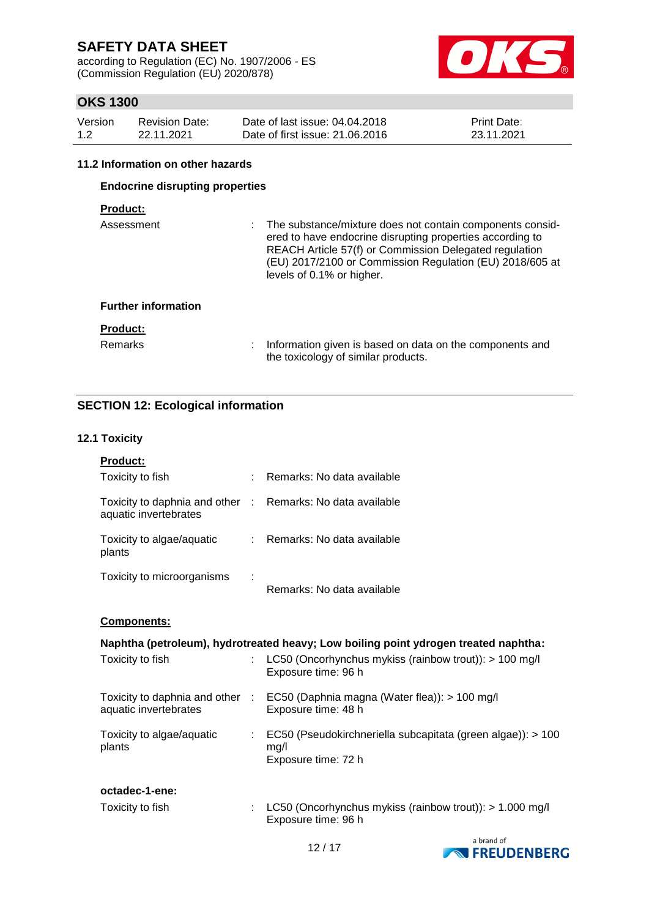according to Regulation (EC) No. 1907/2006 - ES (Commission Regulation (EU) 2020/878)



### **OKS 1300**

| Version | <b>Revision Date:</b> | Date of last issue: 04.04.2018  | <b>Print Date:</b> |
|---------|-----------------------|---------------------------------|--------------------|
| 1.2     | 22.11.2021            | Date of first issue: 21,06,2016 | 23.11.2021         |

#### **11.2 Information on other hazards**

### **Endocrine disrupting properties**

### **Product:**

| Assessment                 | : The substance/mixture does not contain components consid-<br>ered to have endocrine disrupting properties according to<br>REACH Article 57(f) or Commission Delegated regulation<br>(EU) 2017/2100 or Commission Regulation (EU) 2018/605 at<br>levels of 0.1% or higher. |
|----------------------------|-----------------------------------------------------------------------------------------------------------------------------------------------------------------------------------------------------------------------------------------------------------------------------|
| <b>Further information</b> |                                                                                                                                                                                                                                                                             |
| <b>Product:</b>            |                                                                                                                                                                                                                                                                             |
| <b>Remarks</b>             | Information given is based on data on the components and<br>the toxicology of similar products.                                                                                                                                                                             |

### **SECTION 12: Ecological information**

### **12.1 Toxicity**

| Product:                                                                            |                           |                                                                                                      |
|-------------------------------------------------------------------------------------|---------------------------|------------------------------------------------------------------------------------------------------|
| Toxicity to fish                                                                    |                           | : Remarks: No data available                                                                         |
| Toxicity to daphnia and other : Remarks: No data available<br>aquatic invertebrates |                           |                                                                                                      |
| Toxicity to algae/aquatic<br>plants                                                 |                           | : Remarks: No data available                                                                         |
| Toxicity to microorganisms                                                          |                           | Remarks: No data available                                                                           |
| Components:                                                                         |                           |                                                                                                      |
|                                                                                     |                           | Naphtha (petroleum), hydrotreated heavy; Low boiling point ydrogen treated naphtha:                  |
| Toxicity to fish                                                                    | t.                        | LC50 (Oncorhynchus mykiss (rainbow trout)): > 100 mg/l<br>Exposure time: 96 h                        |
| aquatic invertebrates                                                               |                           | Toxicity to daphnia and other : EC50 (Daphnia magna (Water flea)): > 100 mg/l<br>Exposure time: 48 h |
| Toxicity to algae/aquatic<br>plants                                                 | $\mathbb{R}^{\mathbb{Z}}$ | EC50 (Pseudokirchneriella subcapitata (green algae)): > 100<br>mg/l<br>Exposure time: 72 h           |
| octadec-1-ene:                                                                      |                           |                                                                                                      |
| Toxicity to fish                                                                    |                           | LC50 (Oncorhynchus mykiss (rainbow trout)): > 1.000 mg/l<br>Exposure time: 96 h                      |

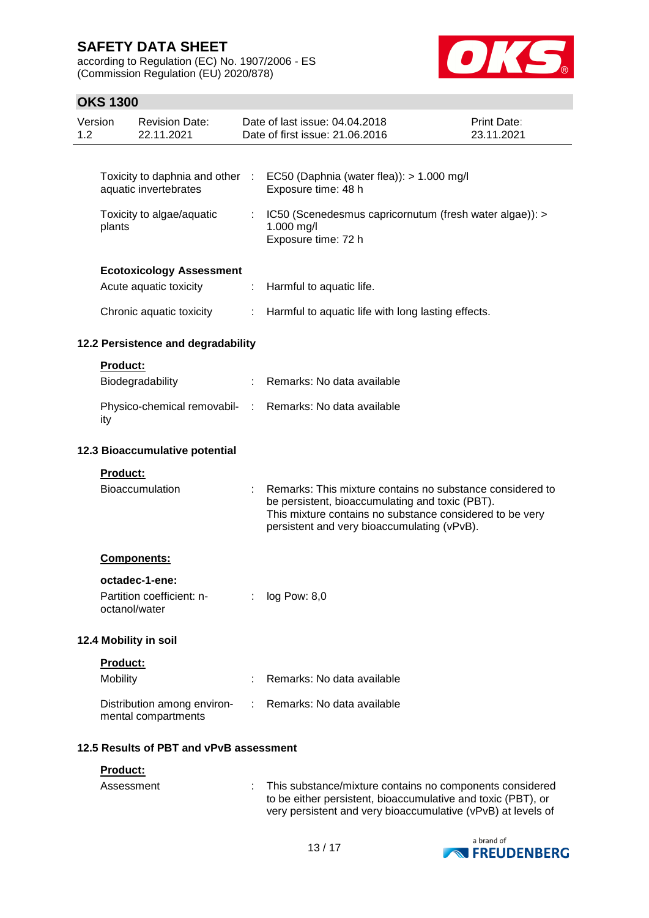according to Regulation (EC) No. 1907/2006 - ES (Commission Regulation (EU) 2020/878)



### **OKS 1300**

| Version<br>1.2 |                                     | <b>Revision Date:</b><br>22.11.2021                      |                | Date of last issue: 04.04.2018<br>Date of first issue: 21.06.2016                                                                                                                                                       | Print Date:<br>23.11.2021 |  |  |  |
|----------------|-------------------------------------|----------------------------------------------------------|----------------|-------------------------------------------------------------------------------------------------------------------------------------------------------------------------------------------------------------------------|---------------------------|--|--|--|
|                |                                     |                                                          |                |                                                                                                                                                                                                                         |                           |  |  |  |
|                |                                     | Toxicity to daphnia and other :<br>aquatic invertebrates |                | EC50 (Daphnia (water flea)): > 1.000 mg/l<br>Exposure time: 48 h                                                                                                                                                        |                           |  |  |  |
|                | Toxicity to algae/aquatic<br>plants |                                                          |                | IC50 (Scenedesmus capricornutum (fresh water algae)): ><br>1.000 mg/l<br>Exposure time: 72 h                                                                                                                            |                           |  |  |  |
|                |                                     | <b>Ecotoxicology Assessment</b>                          |                |                                                                                                                                                                                                                         |                           |  |  |  |
|                |                                     | Acute aquatic toxicity                                   | ÷              | Harmful to aquatic life.                                                                                                                                                                                                |                           |  |  |  |
|                |                                     | Chronic aquatic toxicity                                 | ÷.             | Harmful to aquatic life with long lasting effects.                                                                                                                                                                      |                           |  |  |  |
|                |                                     | 12.2 Persistence and degradability                       |                |                                                                                                                                                                                                                         |                           |  |  |  |
|                | <b>Product:</b>                     |                                                          |                |                                                                                                                                                                                                                         |                           |  |  |  |
|                |                                     | Biodegradability                                         |                | Remarks: No data available                                                                                                                                                                                              |                           |  |  |  |
|                | ity                                 | Physico-chemical removabil- :                            |                | Remarks: No data available                                                                                                                                                                                              |                           |  |  |  |
|                | 12.3 Bioaccumulative potential      |                                                          |                |                                                                                                                                                                                                                         |                           |  |  |  |
|                | Product:                            |                                                          |                |                                                                                                                                                                                                                         |                           |  |  |  |
|                |                                     | Bioaccumulation                                          |                | Remarks: This mixture contains no substance considered to<br>be persistent, bioaccumulating and toxic (PBT).<br>This mixture contains no substance considered to be very<br>persistent and very bioaccumulating (vPvB). |                           |  |  |  |
|                |                                     | Components:                                              |                |                                                                                                                                                                                                                         |                           |  |  |  |
|                |                                     | octadec-1-ene:                                           |                |                                                                                                                                                                                                                         |                           |  |  |  |
|                |                                     | Partition coefficient: n-<br>octanol/water               |                | log Pow: 8,0                                                                                                                                                                                                            |                           |  |  |  |
|                |                                     | 12.4 Mobility in soil                                    |                |                                                                                                                                                                                                                         |                           |  |  |  |
|                | Product:                            |                                                          |                |                                                                                                                                                                                                                         |                           |  |  |  |
|                | Mobility                            |                                                          |                | Remarks: No data available                                                                                                                                                                                              |                           |  |  |  |
|                |                                     | Distribution among environ-<br>mental compartments       | $\mathbb{R}^n$ | Remarks: No data available                                                                                                                                                                                              |                           |  |  |  |
|                |                                     | 12.5 Results of PBT and vPvB assessment                  |                |                                                                                                                                                                                                                         |                           |  |  |  |
|                | Product:                            |                                                          |                |                                                                                                                                                                                                                         |                           |  |  |  |
|                | Assessment                          |                                                          |                | This substance/mixture contains no components considered                                                                                                                                                                |                           |  |  |  |



to be either persistent, bioaccumulative and toxic (PBT), or very persistent and very bioaccumulative (vPvB) at levels of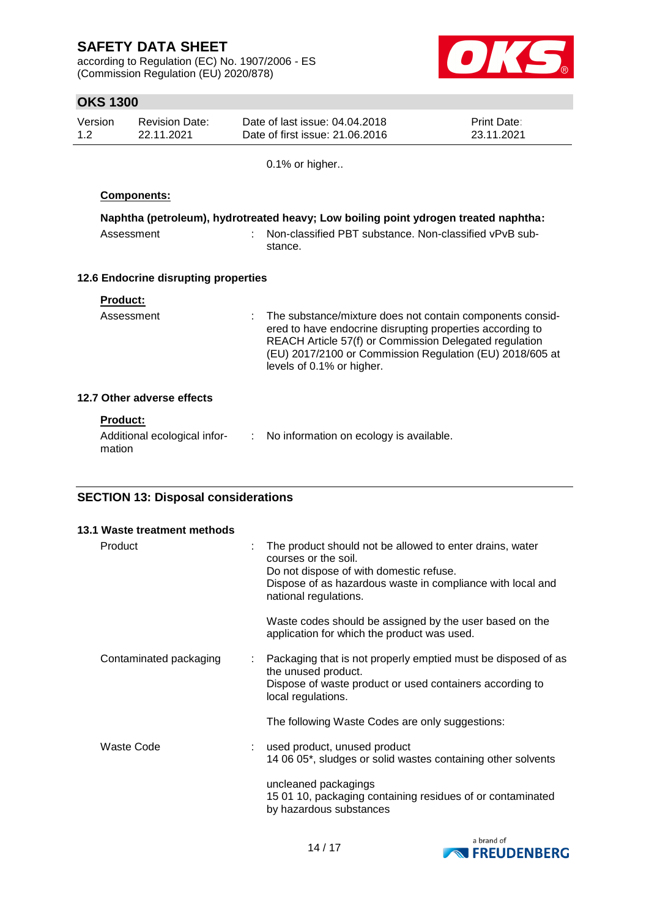according to Regulation (EC) No. 1907/2006 - ES (Commission Regulation (EU) 2020/878)



## **OKS 1300**

| טטטו טווט                                  |                                      |    |                                                                                                                                                                                                                                                                           |                           |  |
|--------------------------------------------|--------------------------------------|----|---------------------------------------------------------------------------------------------------------------------------------------------------------------------------------------------------------------------------------------------------------------------------|---------------------------|--|
| Version<br>1.2                             | <b>Revision Date:</b><br>22.11.2021  |    | Date of last issue: 04.04.2018<br>Date of first issue: 21.06.2016                                                                                                                                                                                                         | Print Date:<br>23.11.2021 |  |
|                                            |                                      |    | 0.1% or higher                                                                                                                                                                                                                                                            |                           |  |
|                                            | Components:                          |    |                                                                                                                                                                                                                                                                           |                           |  |
|                                            |                                      |    | Naphtha (petroleum), hydrotreated heavy; Low boiling point ydrogen treated naphtha:                                                                                                                                                                                       |                           |  |
|                                            | Assessment                           |    | Non-classified PBT substance. Non-classified vPvB sub-<br>stance.                                                                                                                                                                                                         |                           |  |
|                                            | 12.6 Endocrine disrupting properties |    |                                                                                                                                                                                                                                                                           |                           |  |
| Product:                                   |                                      |    |                                                                                                                                                                                                                                                                           |                           |  |
|                                            | Assessment                           |    | The substance/mixture does not contain components consid-<br>ered to have endocrine disrupting properties according to<br>REACH Article 57(f) or Commission Delegated regulation<br>(EU) 2017/2100 or Commission Regulation (EU) 2018/605 at<br>levels of 0.1% or higher. |                           |  |
|                                            | 12.7 Other adverse effects           |    |                                                                                                                                                                                                                                                                           |                           |  |
| <b>Product:</b><br>mation                  | Additional ecological infor-         | ÷. | No information on ecology is available.                                                                                                                                                                                                                                   |                           |  |
| <b>SECTION 13: Disposal considerations</b> |                                      |    |                                                                                                                                                                                                                                                                           |                           |  |

| 13.1 Waste treatment methods |                                                                                                                                                                                                                    |
|------------------------------|--------------------------------------------------------------------------------------------------------------------------------------------------------------------------------------------------------------------|
| Product                      | The product should not be allowed to enter drains, water<br>courses or the soil.<br>Do not dispose of with domestic refuse.<br>Dispose of as hazardous waste in compliance with local and<br>national regulations. |
|                              | Waste codes should be assigned by the user based on the<br>application for which the product was used.                                                                                                             |
| Contaminated packaging<br>÷. | Packaging that is not properly emptied must be disposed of as<br>the unused product.<br>Dispose of waste product or used containers according to<br>local regulations.                                             |
|                              | The following Waste Codes are only suggestions:                                                                                                                                                                    |
| Waste Code                   | used product, unused product<br>14 06 05*, sludges or solid wastes containing other solvents                                                                                                                       |
|                              | uncleaned packagings<br>15 01 10, packaging containing residues of or contaminated<br>by hazardous substances                                                                                                      |

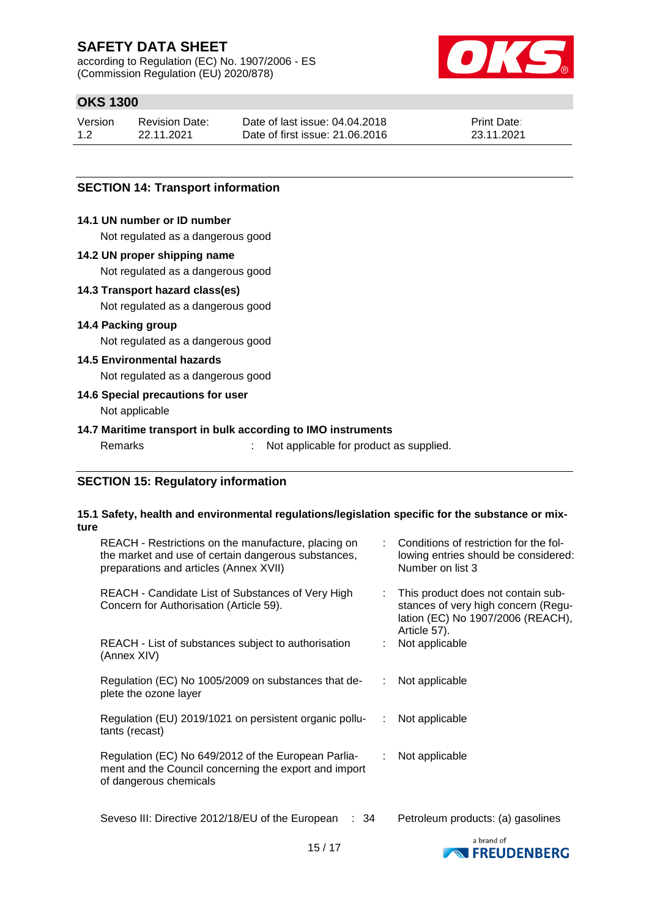according to Regulation (EC) No. 1907/2006 - ES (Commission Regulation (EU) 2020/878)



## **OKS 1300**

| Version | <b>Revision Date:</b> | Date of last issue: 04.04.2018  | <b>Print Date:</b> |
|---------|-----------------------|---------------------------------|--------------------|
| 1.2     | 22.11.2021            | Date of first issue: 21,06,2016 | 23.11.2021         |

### **SECTION 14: Transport information**

#### **14.1 UN number or ID number**

Not regulated as a dangerous good

#### **14.2 UN proper shipping name**

Not regulated as a dangerous good

#### **14.3 Transport hazard class(es)**

Not regulated as a dangerous good

#### **14.4 Packing group**

Not regulated as a dangerous good

#### **14.5 Environmental hazards**

Not regulated as a dangerous good

#### **14.6 Special precautions for user**

Not applicable

### **14.7 Maritime transport in bulk according to IMO instruments**

Remarks : Not applicable for product as supplied.

### **SECTION 15: Regulatory information**

#### **15.1 Safety, health and environmental regulations/legislation specific for the substance or mixture**

| REACH - Restrictions on the manufacture, placing on<br>the market and use of certain dangerous substances,<br>preparations and articles (Annex XVII) |   | : Conditions of restriction for the fol-<br>lowing entries should be considered:<br>Number on list 3                           |
|------------------------------------------------------------------------------------------------------------------------------------------------------|---|--------------------------------------------------------------------------------------------------------------------------------|
| REACH - Candidate List of Substances of Very High<br>Concern for Authorisation (Article 59).                                                         |   | This product does not contain sub-<br>stances of very high concern (Regu-<br>lation (EC) No 1907/2006 (REACH),<br>Article 57). |
| REACH - List of substances subject to authorisation<br>(Annex XIV)                                                                                   |   | Not applicable                                                                                                                 |
| Regulation (EC) No 1005/2009 on substances that de-<br>plete the ozone layer                                                                         |   | Not applicable                                                                                                                 |
| Regulation (EU) 2019/1021 on persistent organic pollu-<br>tants (recast)                                                                             | ÷ | Not applicable                                                                                                                 |
| Regulation (EC) No 649/2012 of the European Parlia-<br>ment and the Council concerning the export and import<br>of dangerous chemicals               |   | Not applicable                                                                                                                 |
| Seveso III: Directive 2012/18/EU of the European<br>: 34                                                                                             |   | Petroleum products: (a) gasolines                                                                                              |

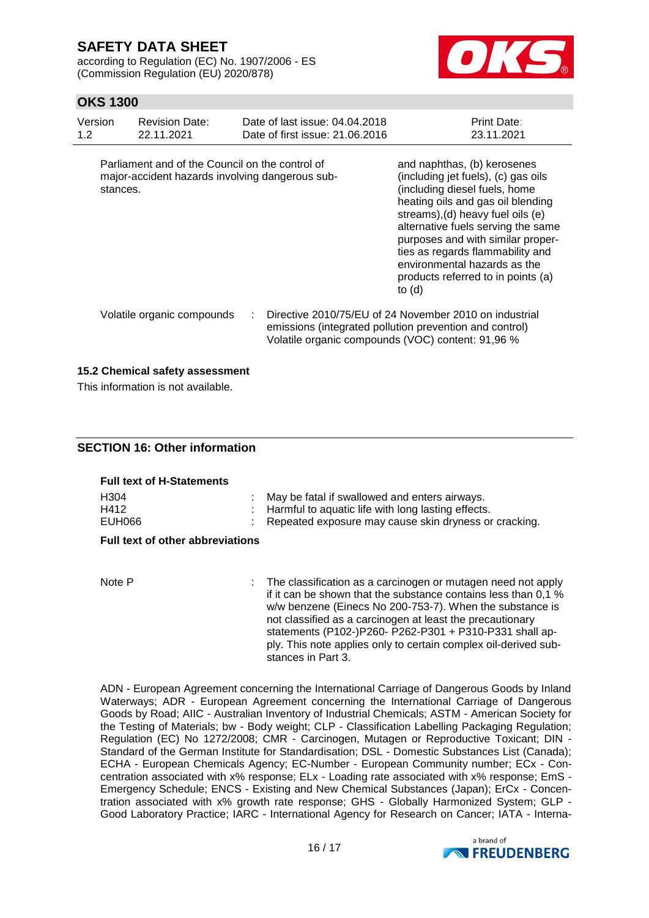according to Regulation (EC) No. 1907/2006 - ES (Commission Regulation (EU) 2020/878)



### **OKS 1300**

| Version<br>1.2 <sub>2</sub> | <b>Revision Date:</b><br>22.11.2021                                                                | Date of last issue: 04.04.2018<br>Date of first issue: 21.06.2016 | <b>Print Date:</b><br>23.11.2021                                                                                                                                                                                                                                                                                                                                               |
|-----------------------------|----------------------------------------------------------------------------------------------------|-------------------------------------------------------------------|--------------------------------------------------------------------------------------------------------------------------------------------------------------------------------------------------------------------------------------------------------------------------------------------------------------------------------------------------------------------------------|
| stances.                    | Parliament and of the Council on the control of<br>major-accident hazards involving dangerous sub- |                                                                   | and naphthas, (b) kerosenes<br>(including jet fuels), (c) gas oils<br>(including diesel fuels, home<br>heating oils and gas oil blending<br>streams), (d) heavy fuel oils (e)<br>alternative fuels serving the same<br>purposes and with similar proper-<br>ties as regards flammability and<br>environmental hazards as the<br>products referred to in points (a)<br>to $(d)$ |
|                             | Volatile organic compounds                                                                         |                                                                   | Directive 2010/75/EU of 24 November 2010 on industrial<br>emissions (integrated pollution prevention and control)<br>Volatile organic compounds (VOC) content: 91,96 %                                                                                                                                                                                                         |

#### **15.2 Chemical safety assessment**

This information is not available.

### **SECTION 16: Other information**

| <b>Full text of H-Statements</b>        |  |                                                                                                                                                                                                                                                                                                                                                                                         |  |  |
|-----------------------------------------|--|-----------------------------------------------------------------------------------------------------------------------------------------------------------------------------------------------------------------------------------------------------------------------------------------------------------------------------------------------------------------------------------------|--|--|
| H <sub>304</sub><br>H412<br>EUH066      |  | May be fatal if swallowed and enters airways.<br>Harmful to aquatic life with long lasting effects.<br>Repeated exposure may cause skin dryness or cracking.                                                                                                                                                                                                                            |  |  |
| <b>Full text of other abbreviations</b> |  |                                                                                                                                                                                                                                                                                                                                                                                         |  |  |
|                                         |  |                                                                                                                                                                                                                                                                                                                                                                                         |  |  |
| Note P                                  |  | : The classification as a carcinogen or mutagen need not apply<br>if it can be shown that the substance contains less than 0,1 %<br>w/w benzene (Einecs No 200-753-7). When the substance is<br>not classified as a carcinogen at least the precautionary<br>statements (P102-)P260- P262-P301 + P310-P331 shall ap-<br>ply. This note applies only to certain complex oil-derived sub- |  |  |

stances in Part 3.

ADN - European Agreement concerning the International Carriage of Dangerous Goods by Inland Waterways; ADR - European Agreement concerning the International Carriage of Dangerous Goods by Road; AIIC - Australian Inventory of Industrial Chemicals; ASTM - American Society for the Testing of Materials; bw - Body weight; CLP - Classification Labelling Packaging Regulation; Regulation (EC) No 1272/2008; CMR - Carcinogen, Mutagen or Reproductive Toxicant; DIN - Standard of the German Institute for Standardisation; DSL - Domestic Substances List (Canada); ECHA - European Chemicals Agency; EC-Number - European Community number; ECx - Concentration associated with x% response; ELx - Loading rate associated with x% response; EmS - Emergency Schedule; ENCS - Existing and New Chemical Substances (Japan); ErCx - Concentration associated with x% growth rate response; GHS - Globally Harmonized System; GLP - Good Laboratory Practice; IARC - International Agency for Research on Cancer; IATA - Interna-